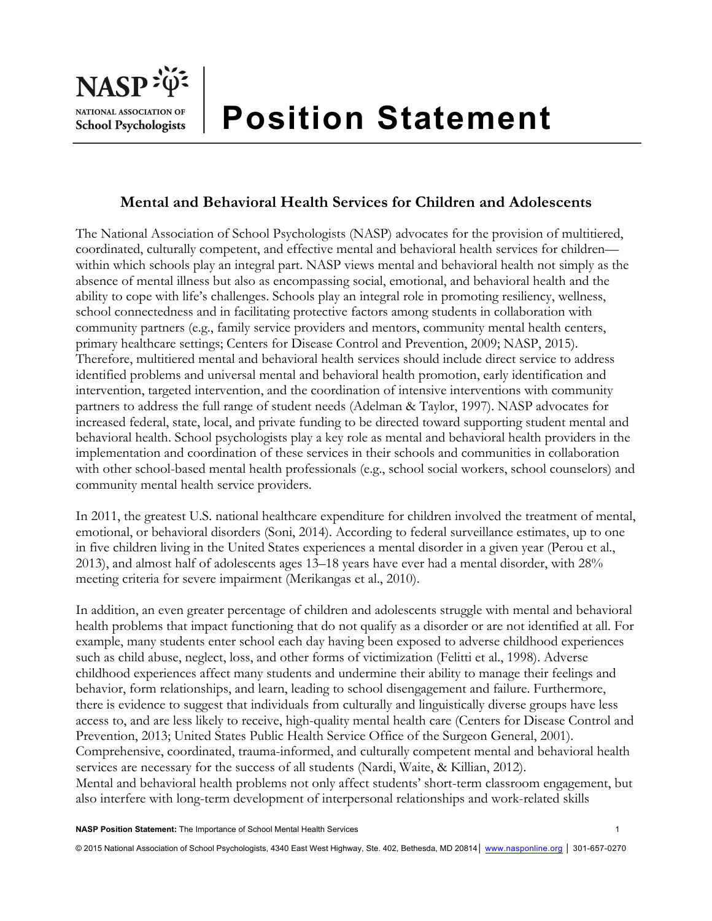

# **Position Statement**

## **Mental and Behavioral Health Services for Children and Adolescents**

The National Association of School Psychologists (NASP) advocates for the provision of multitiered, coordinated, culturally competent, and effective mental and behavioral health services for children within which schools play an integral part. NASP views mental and behavioral health not simply as the absence of mental illness but also as encompassing social, emotional, and behavioral health and the ability to cope with life's challenges. Schools play an integral role in promoting resiliency, wellness, school connectedness and in facilitating protective factors among students in collaboration with community partners (e.g., family service providers and mentors, community mental health centers, primary healthcare settings; Centers for Disease Control and Prevention, 2009; NASP, 2015). Therefore, multitiered mental and behavioral health services should include direct service to address identified problems and universal mental and behavioral health promotion, early identification and intervention, targeted intervention, and the coordination of intensive interventions with community partners to address the full range of student needs (Adelman & Taylor, 1997). NASP advocates for increased federal, state, local, and private funding to be directed toward supporting student mental and behavioral health. School psychologists play a key role as mental and behavioral health providers in the implementation and coordination of these services in their schools and communities in collaboration with other school-based mental health professionals (e.g., school social workers, school counselors) and community mental health service providers.

In 2011, the greatest U.S. national healthcare expenditure for children involved the treatment of mental, emotional, or behavioral disorders (Soni, 2014). According to federal surveillance estimates, up to one in five children living in the United States experiences a mental disorder in a given year (Perou et al., 2013), and almost half of adolescents ages 13–18 years have ever had a mental disorder, with 28% meeting criteria for severe impairment (Merikangas et al., 2010).

In addition, an even greater percentage of children and adolescents struggle with mental and behavioral health problems that impact functioning that do not qualify as a disorder or are not identified at all. For example, many students enter school each day having been exposed to adverse childhood experiences such as child abuse, neglect, loss, and other forms of victimization (Felitti et al., 1998). Adverse childhood experiences affect many students and undermine their ability to manage their feelings and behavior, form relationships, and learn, leading to school disengagement and failure. Furthermore, there is evidence to suggest that individuals from culturally and linguistically diverse groups have less access to, and are less likely to receive, high-quality mental health care (Centers for Disease Control and Prevention, 2013; United States Public Health Service Office of the Surgeon General, 2001). Comprehensive, coordinated, trauma-informed, and culturally competent mental and behavioral health services are necessary for the success of all students (Nardi, Waite, & Killian, 2012). Mental and behavioral health problems not only affect students' short-term classroom engagement, but also interfere with long-term development of interpersonal relationships and work-related skills

**NASP Position Statement:** The Importance of School Mental Health Services

© 2015 National Association of School Psychologists, 4340 East West Highway, Ste. 402, Bethesda, MD 20814 | www.nasponline.org | 301-657-0270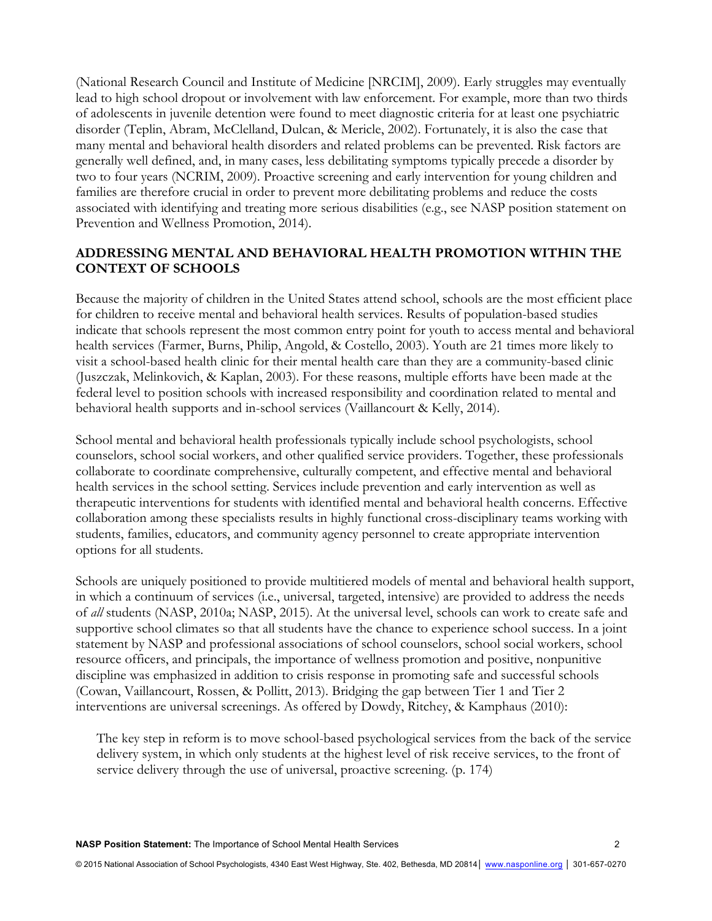(National Research Council and Institute of Medicine [NRCIM], 2009). Early struggles may eventually lead to high school dropout or involvement with law enforcement. For example, more than two thirds of adolescents in juvenile detention were found to meet diagnostic criteria for at least one psychiatric disorder (Teplin, Abram, McClelland, Dulcan, & Mericle, 2002). Fortunately, it is also the case that many mental and behavioral health disorders and related problems can be prevented. Risk factors are generally well defined, and, in many cases, less debilitating symptoms typically precede a disorder by two to four years (NCRIM, 2009). Proactive screening and early intervention for young children and families are therefore crucial in order to prevent more debilitating problems and reduce the costs associated with identifying and treating more serious disabilities (e.g., see NASP position statement on Prevention and Wellness Promotion, 2014).

### **ADDRESSING MENTAL AND BEHAVIORAL HEALTH PROMOTION WITHIN THE CONTEXT OF SCHOOLS**

Because the majority of children in the United States attend school, schools are the most efficient place for children to receive mental and behavioral health services. Results of population-based studies indicate that schools represent the most common entry point for youth to access mental and behavioral health services (Farmer, Burns, Philip, Angold, & Costello, 2003). Youth are 21 times more likely to visit a school-based health clinic for their mental health care than they are a community-based clinic (Juszczak, Melinkovich, & Kaplan, 2003). For these reasons, multiple efforts have been made at the federal level to position schools with increased responsibility and coordination related to mental and behavioral health supports and in-school services (Vaillancourt & Kelly, 2014).

School mental and behavioral health professionals typically include school psychologists, school counselors, school social workers, and other qualified service providers. Together, these professionals collaborate to coordinate comprehensive, culturally competent, and effective mental and behavioral health services in the school setting. Services include prevention and early intervention as well as therapeutic interventions for students with identified mental and behavioral health concerns. Effective collaboration among these specialists results in highly functional cross-disciplinary teams working with students, families, educators, and community agency personnel to create appropriate intervention options for all students.

Schools are uniquely positioned to provide multitiered models of mental and behavioral health support, in which a continuum of services (i.e., universal, targeted, intensive) are provided to address the needs of *all* students (NASP, 2010a; NASP, 2015). At the universal level, schools can work to create safe and supportive school climates so that all students have the chance to experience school success. In a joint statement by NASP and professional associations of school counselors, school social workers, school resource officers, and principals, the importance of wellness promotion and positive, nonpunitive discipline was emphasized in addition to crisis response in promoting safe and successful schools (Cowan, Vaillancourt, Rossen, & Pollitt, 2013). Bridging the gap between Tier 1 and Tier 2 interventions are universal screenings. As offered by Dowdy, Ritchey, & Kamphaus (2010):

The key step in reform is to move school-based psychological services from the back of the service delivery system, in which only students at the highest level of risk receive services, to the front of service delivery through the use of universal, proactive screening. (p. 174)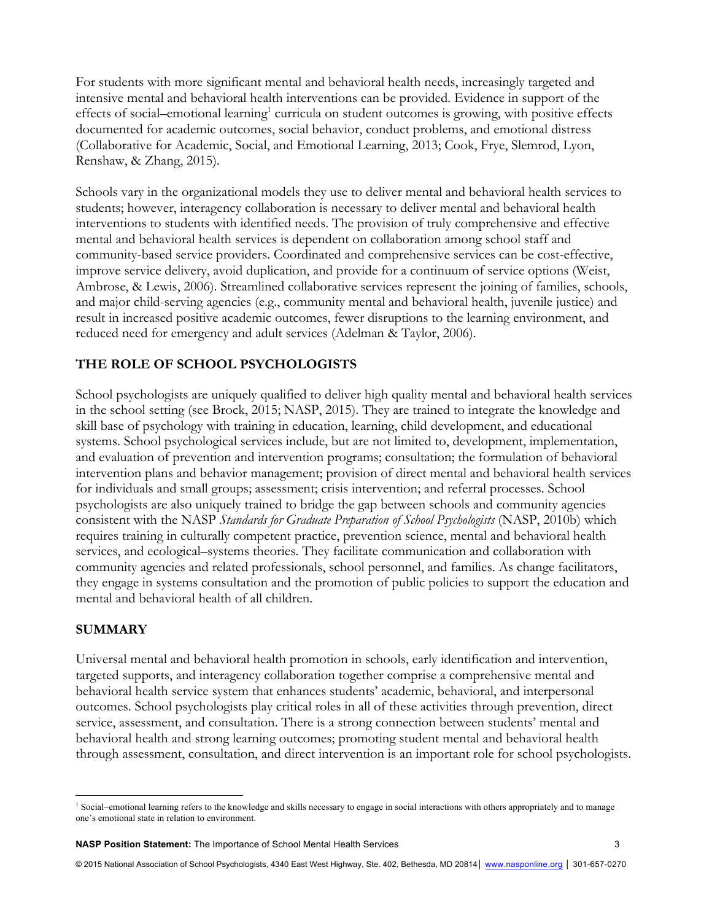For students with more significant mental and behavioral health needs, increasingly targeted and intensive mental and behavioral health interventions can be provided. Evidence in support of the effects of social–emotional learning<sup>1</sup> curricula on student outcomes is growing, with positive effects documented for academic outcomes, social behavior, conduct problems, and emotional distress (Collaborative for Academic, Social, and Emotional Learning, 2013; Cook, Frye, Slemrod, Lyon, Renshaw, & Zhang, 2015).

Schools vary in the organizational models they use to deliver mental and behavioral health services to students; however, interagency collaboration is necessary to deliver mental and behavioral health interventions to students with identified needs. The provision of truly comprehensive and effective mental and behavioral health services is dependent on collaboration among school staff and community-based service providers. Coordinated and comprehensive services can be cost-effective, improve service delivery, avoid duplication, and provide for a continuum of service options (Weist, Ambrose, & Lewis, 2006). Streamlined collaborative services represent the joining of families, schools, and major child-serving agencies (e.g., community mental and behavioral health, juvenile justice) and result in increased positive academic outcomes, fewer disruptions to the learning environment, and reduced need for emergency and adult services (Adelman & Taylor, 2006).

## **THE ROLE OF SCHOOL PSYCHOLOGISTS**

School psychologists are uniquely qualified to deliver high quality mental and behavioral health services in the school setting (see Brock, 2015; NASP, 2015). They are trained to integrate the knowledge and skill base of psychology with training in education, learning, child development, and educational systems. School psychological services include, but are not limited to, development, implementation, and evaluation of prevention and intervention programs; consultation; the formulation of behavioral intervention plans and behavior management; provision of direct mental and behavioral health services for individuals and small groups; assessment; crisis intervention; and referral processes. School psychologists are also uniquely trained to bridge the gap between schools and community agencies consistent with the NASP *Standards for Graduate Preparation of School Psychologists* (NASP, 2010b) which requires training in culturally competent practice, prevention science, mental and behavioral health services, and ecological–systems theories. They facilitate communication and collaboration with community agencies and related professionals, school personnel, and families. As change facilitators, they engage in systems consultation and the promotion of public policies to support the education and mental and behavioral health of all children.

#### **SUMMARY**

 

Universal mental and behavioral health promotion in schools, early identification and intervention, targeted supports, and interagency collaboration together comprise a comprehensive mental and behavioral health service system that enhances students' academic, behavioral, and interpersonal outcomes. School psychologists play critical roles in all of these activities through prevention, direct service, assessment, and consultation. There is a strong connection between students' mental and behavioral health and strong learning outcomes; promoting student mental and behavioral health through assessment, consultation, and direct intervention is an important role for school psychologists.

<sup>&</sup>lt;sup>1</sup> Social–emotional learning refers to the knowledge and skills necessary to engage in social interactions with others appropriately and to manage one's emotional state in relation to environment.

**NASP Position Statement:** The Importance of School Mental Health Services 3

<sup>© 2015</sup> National Association of School Psychologists, 4340 East West Highway, Ste. 402, Bethesda, MD 20814 | www.nasponline.org | 301-657-0270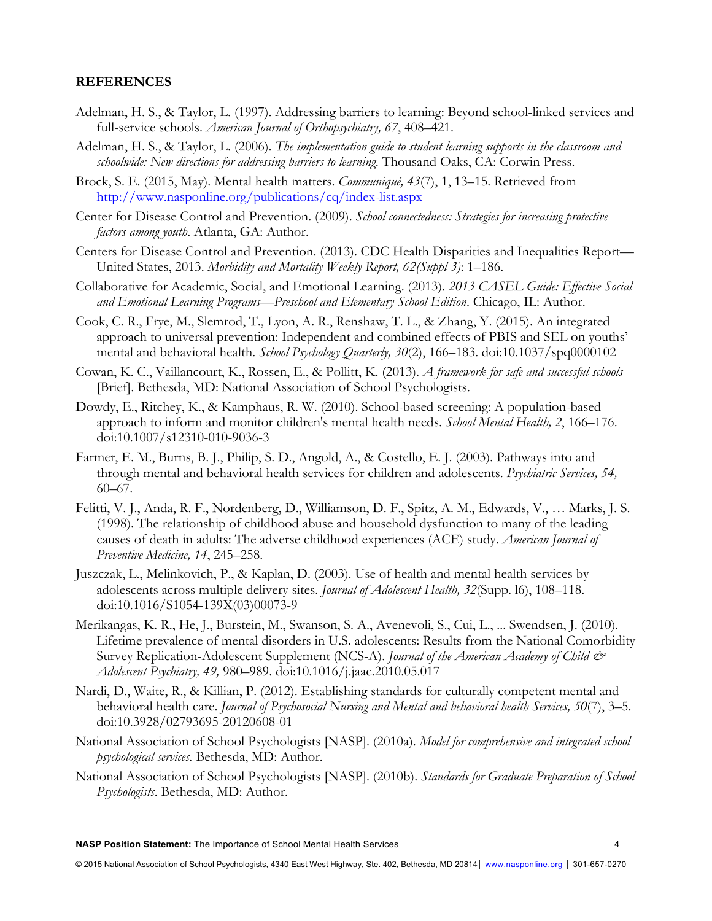#### **REFERENCES**

- Adelman, H. S., & Taylor, L. (1997). Addressing barriers to learning: Beyond school-linked services and full-service schools. *American Journal of Orthopsychiatry, 67*, 408–421.
- Adelman, H. S., & Taylor, L. (2006). *The implementation guide to student learning supports in the classroom and schoolwide: New directions for addressing barriers to learning*. Thousand Oaks, CA: Corwin Press.
- Brock, S. E. (2015, May). Mental health matters. *Communiqué, 43*(7), 1, 13–15. Retrieved from http://www.nasponline.org/publications/cq/index-list.aspx
- Center for Disease Control and Prevention. (2009). *School connectedness: Strategies for increasing protective factors among youth*. Atlanta, GA: Author.
- Centers for Disease Control and Prevention. (2013). CDC Health Disparities and Inequalities Report— United States, 2013. *Morbidity and Mortality Weekly Report, 62(Suppl 3)*: 1–186.
- Collaborative for Academic, Social, and Emotional Learning. (2013). *2013 CASEL Guide: Effective Social and Emotional Learning Programs—Preschool and Elementary School Edition*. Chicago, IL: Author.
- Cook, C. R., Frye, M., Slemrod, T., Lyon, A. R., Renshaw, T. L., & Zhang, Y. (2015). An integrated approach to universal prevention: Independent and combined effects of PBIS and SEL on youths' mental and behavioral health. *School Psychology Quarterly, 30*(2), 166–183. doi:10.1037/spq0000102
- Cowan, K. C., Vaillancourt, K., Rossen, E., & Pollitt, K. (2013). *A framework for safe and successful schools* [Brief]. Bethesda, MD: National Association of School Psychologists.
- Dowdy, E., Ritchey, K., & Kamphaus, R. W. (2010). School-based screening: A population-based approach to inform and monitor children's mental health needs. *School Mental Health, 2*, 166–176. doi:10.1007/s12310-010-9036-3
- Farmer, E. M., Burns, B. J., Philip, S. D., Angold, A., & Costello, E. J. (2003). Pathways into and through mental and behavioral health services for children and adolescents. *Psychiatric Services, 54,*  60–67.
- Felitti, V. J., Anda, R. F., Nordenberg, D., Williamson, D. F., Spitz, A. M., Edwards, V., … Marks, J. S. (1998). The relationship of childhood abuse and household dysfunction to many of the leading causes of death in adults: The adverse childhood experiences (ACE) study. *American Journal of Preventive Medicine, 14*, 245–258.
- Juszczak, L., Melinkovich, P., & Kaplan, D. (2003). Use of health and mental health services by adolescents across multiple delivery sites. *Journal of Adolescent Health, 32*(Supp. l6), 108–118. doi:10.1016/S1054-139X(03)00073-9
- Merikangas, K. R., He, J., Burstein, M., Swanson, S. A., Avenevoli, S., Cui, L., ... Swendsen, J. (2010). Lifetime prevalence of mental disorders in U.S. adolescents: Results from the National Comorbidity Survey Replication-Adolescent Supplement (NCS-A). *Journal of the American Academy of Child & Adolescent Psychiatry, 49,* 980–989. doi:10.1016/j.jaac.2010.05.017
- Nardi, D., Waite, R., & Killian, P. (2012). Establishing standards for culturally competent mental and behavioral health care. *Journal of Psychosocial Nursing and Mental and behavioral health Services, 50*(7), 3–5. doi:10.3928/02793695-20120608-01
- National Association of School Psychologists [NASP]. (2010a). *Model for comprehensive and integrated school psychological services.* Bethesda, MD: Author.
- National Association of School Psychologists [NASP]. (2010b). *Standards for Graduate Preparation of School Psychologists*. Bethesda, MD: Author.